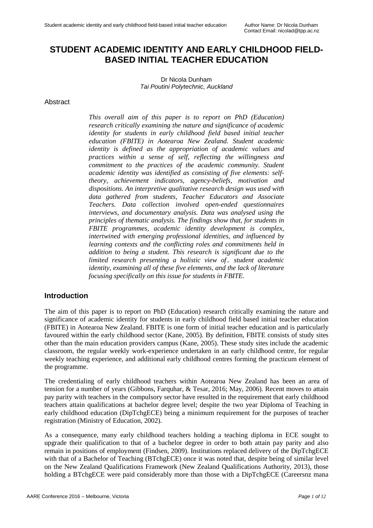# **STUDENT ACADEMIC IDENTITY AND EARLY CHILDHOOD FIELD-BASED INITIAL TEACHER EDUCATION**

Dr Nicola Dunham *Tai Poutini Polytechnic, Auckland*

#### Abstract

*This overall aim of this paper is to report on PhD (Education) research critically examining the nature and significance of academic identity for students in early childhood field based initial teacher education (FBITE) in Aotearoa New Zealand. Student academic identity is defined as the appropriation of academic values and practices within a sense of self, reflecting the willingness and commitment to the practices of the academic community. Student academic identity was identified as consisting of five elements: selftheory, achievement indicators, agency-beliefs, motivation and dispositions. An interpretive qualitative research design was used with data gathered from students, Teacher Educators and Associate Teachers. Data collection involved open-ended questionnaires interviews, and documentary analysis. Data was analysed using the principles of thematic analysis. The findings show that, for students in FBITE programmes, academic identity development is complex, intertwined with emerging professional identities, and influenced by learning contexts and the conflicting roles and commitments held in addition to being a student. This research is significant due to the limited research presenting a holistic view of*  $\mu$  *student academic identity, examining all of these five elements, and the lack of literature focusing specifically on this issue for students in FBITE.*

### **Introduction**

The aim of this paper is to report on PhD (Education) research critically examining the nature and significance of academic identity for students in early childhood field based initial teacher education (FBITE) in Aotearoa New Zealand. FBITE is one form of initial teacher education and is particularly favoured within the early childhood sector (Kane, 2005). By definition, FBITE consists of study sites other than the main education providers campus (Kane, 2005). These study sites include the academic classroom, the regular weekly work-experience undertaken in an early childhood centre, for regular weekly teaching experience, and additional early childhood centres forming the practicum element of the programme.

The credentialing of early childhood teachers within Aotearoa New Zealand has been an area of tension for a number of years (Gibbons, Farquhar, & Tesar, 2016; May, 2006). Recent moves to attain pay parity with teachers in the compulsory sector have resulted in the requirement that early childhood teachers attain qualifications at bachelor degree level; despite the two year Diploma of Teaching in early childhood education (DipTchgECE) being a minimum requirement for the purposes of teacher registration (Ministry of Education, 2002).

As a consequence, many early childhood teachers holding a teaching diploma in ECE sought to upgrade their qualification to that of a bachelor degree in order to both attain pay parity and also remain in positions of employment (Findsen, 2009). Institutions replaced delivery of the DipTchgECE with that of a Bachelor of Teaching (BTchgECE) once it was noted that, despite being of similar level on the New Zealand Qualifications Framework (New Zealand Qualifications Authority, 2013), those holding a BTchgECE were paid considerably more than those with a DipTchgECE (Careersnz mana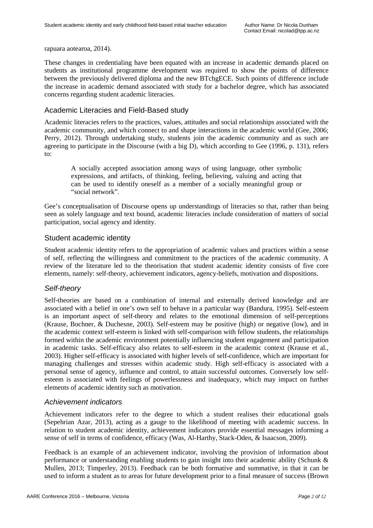rapuara aotearoa, 2014).

These changes in credentialing have been equated with an increase in academic demands placed on students as institutional programme development was required to show the points of difference between the previously delivered diploma and the new BTchgECE. Such points of difference include the increase in academic demand associated with study for a bachelor degree, which has associated concerns regarding student academic literacies.

### Academic Literacies and Field-Based study

Academic literacies refers to the practices, values, attitudes and social relationships associated with the academic community, and which connect to and shape interactions in the academic world (Gee, 2006; Perry, 2012). Through undertaking study, students join the academic community and as such are agreeing to participate in the Discourse (with a big D), which according to Gee (1996, p. 131), refers to:

A socially accepted association among ways of using language, other symbolic expressions, and artifacts, of thinking, feeling, believing, valuing and acting that can be used to identify oneself as a member of a socially meaningful group or "social network".

Gee's conceptualisation of Discourse opens up understandings of literacies so that, rather than being seen as solely language and text bound, academic literacies include consideration of matters of social participation, social agency and identity.

## Student academic identity

Student academic identity refers to the appropriation of academic values and practices within a sense of self, reflecting the willingness and commitment to the practices of the academic community. A review of the literature led to the theorisation that student academic identity consists of five core elements, namely: self-theory, achievement indicators, agency-beliefs, motivation and dispositions.

# *Self-theory*

Self-theories are based on a combination of internal and externally derived knowledge and are associated with a belief in one's own self to behave in a particular way (Bandura, 1995). Self-esteem is an important aspect of self-theory and relates to the emotional dimension of self-perceptions (Krause, Bochner, & Duchesne, 2003). Self-esteem may be positive (high) or negative (low), and in the academic context self-esteem is linked with self-comparison with fellow students, the relationships formed within the academic environment potentially influencing student engagement and participation in academic tasks. Self-efficacy also relates to self-esteem in the academic context (Krause et al., 2003). Higher self-efficacy is associated with higher levels of self-confidence, which are important for managing challenges and stresses within academic study. High self-efficacy is associated with a personal sense of agency, influence and control, to attain successful outcomes. Conversely low selfesteem is associated with feelings of powerlessness and inadequacy, which may impact on further elements of academic identity such as motivation.

### *Achievement indicators*

Achievement indicators refer to the degree to which a student realises their educational goals (Sepehrian Azar, 2013), acting as a gauge to the likelihood of meeting with academic success. In relation to student academic identity, achievement indicators provide essential messages informing a sense of self in terms of confidence, efficacy (Was, Al-Harthy, Stack-Oden, & Isaacson, 2009).

Feedback is an example of an achievement indicator, involving the provision of information about performance or understanding enabling students to gain insight into their academic ability (Schunk & Mullen, 2013; Timperley, 2013). Feedback can be both formative and summative, in that it can be used to inform a student as to areas for future development prior to a final measure of success (Brown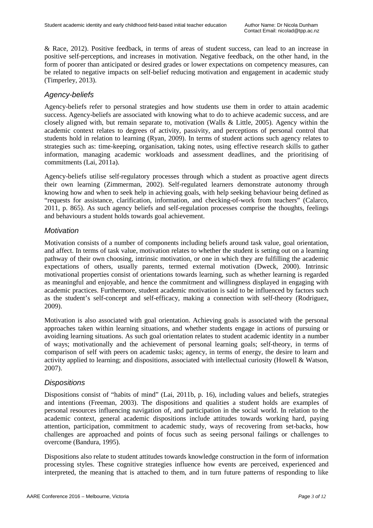& Race, 2012). Positive feedback, in terms of areas of student success, can lead to an increase in positive self-perceptions, and increases in motivation. Negative feedback, on the other hand, in the form of poorer than anticipated or desired grades or lower expectations on competency measures, can be related to negative impacts on self-belief reducing motivation and engagement in academic study (Timperley, 2013).

# *Agency-beliefs*

Agency-beliefs refer to personal strategies and how students use them in order to attain academic success. Agency-beliefs are associated with knowing what to do to achieve academic success, and are closely aligned with, but remain separate to, motivation (Walls & Little, 2005). Agency within the academic context relates to degrees of activity, passivity, and perceptions of personal control that students hold in relation to learning (Ryan, 2009). In terms of student actions such agency relates to strategies such as: time-keeping, organisation, taking notes, using effective research skills to gather information, managing academic workloads and assessment deadlines, and the prioritising of commitments (Lai, 2011a).

Agency-beliefs utilise self-regulatory processes through which a student as proactive agent directs their own learning (Zimmerman, 2002). Self-regulated learners demonstrate autonomy through knowing how and when to seek help in achieving goals, with help seeking behaviour being defined as "requests for assistance, clarification, information, and checking-of-work from teachers" (Calarco, 2011, p. 865). As such agency beliefs and self-regulation processes comprise the thoughts, feelings and behaviours a student holds towards goal achievement.

## *Motivation*

Motivation consists of a number of components including beliefs around task value, goal orientation, and affect. In terms of task value, motivation relates to whether the student is setting out on a learning pathway of their own choosing, intrinsic motivation, or one in which they are fulfilling the academic expectations of others, usually parents, termed external motivation (Dweck, 2000). Intrinsic motivational properties consist of orientations towards learning, such as whether learning is regarded as meaningful and enjoyable, and hence the commitment and willingness displayed in engaging with academic practices. Furthermore, student academic motivation is said to be influenced by factors such as the student's self-concept and self-efficacy, making a connection with self-theory (Rodriguez, 2009).

Motivation is also associated with goal orientation. Achieving goals is associated with the personal approaches taken within learning situations, and whether students engage in actions of pursuing or avoiding learning situations. As such goal orientation relates to student academic identity in a number of ways; motivationally and the achievement of personal learning goals; self-theory, in terms of comparison of self with peers on academic tasks; agency, in terms of energy, the desire to learn and activity applied to learning; and dispositions, associated with intellectual curiosity (Howell & Watson, 2007).

### *Dispositions*

Dispositions consist of "habits of mind" (Lai, 2011b, p. 16), including values and beliefs, strategies and intentions (Freeman, 2003). The dispositions and qualities a student holds are examples of personal resources influencing navigation of, and participation in the social world. In relation to the academic context, general academic dispositions include attitudes towards working hard, paying attention, participation, commitment to academic study, ways of recovering from set-backs, how challenges are approached and points of focus such as seeing personal failings or challenges to overcome (Bandura, 1995).

Dispositions also relate to student attitudes towards knowledge construction in the form of information processing styles. These cognitive strategies influence how events are perceived, experienced and interpreted, the meaning that is attached to them, and in turn future patterns of responding to like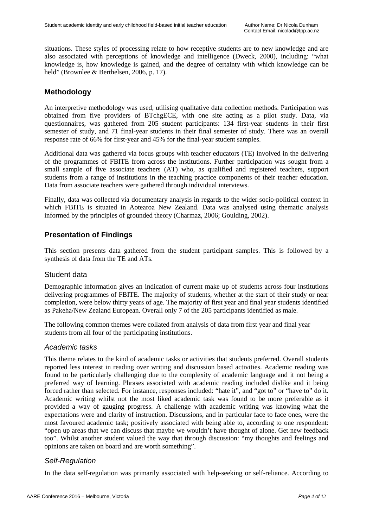situations. These styles of processing relate to how receptive students are to new knowledge and are also associated with perceptions of knowledge and intelligence (Dweck, 2000), including: "what knowledge is, how knowledge is gained, and the degree of certainty with which knowledge can be held" (Brownlee & Berthelsen, 2006, p. 17).

# **Methodology**

An interpretive methodology was used, utilising qualitative data collection methods. Participation was obtained from five providers of BTchgECE, with one site acting as a pilot study. Data, via questionnaires, was gathered from 205 student participants: 134 first-year students in their first semester of study, and 71 final-year students in their final semester of study. There was an overall response rate of 66% for first-year and 45% for the final-year student samples.

Additional data was gathered via focus groups with teacher educators (TE) involved in the delivering of the programmes of FBITE from across the institutions. Further participation was sought from a small sample of five associate teachers (AT) who, as qualified and registered teachers, support students from a range of institutions in the teaching practice components of their teacher education. Data from associate teachers were gathered through individual interviews.

Finally, data was collected via documentary analysis in regards to the wider socio-political context in which FBITE is situated in Aotearoa New Zealand. Data was analysed using thematic analysis informed by the principles of grounded theory (Charmaz, 2006; Goulding, 2002).

# **Presentation of Findings**

This section presents data gathered from the student participant samples. This is followed by a synthesis of data from the TE and ATs.

### Student data

Demographic information gives an indication of current make up of students across four institutions delivering programmes of FBITE. The majority of students, whether at the start of their study or near completion, were below thirty years of age. The majority of first year and final year students identified as Pakeha/New Zealand European. Overall only 7 of the 205 participants identified as male.

The following common themes were collated from analysis of data from first year and final year students from all four of the participating institutions.

### *Academic tasks*

This theme relates to the kind of academic tasks or activities that students preferred. Overall students reported less interest in reading over writing and discussion based activities. Academic reading was found to be particularly challenging due to the complexity of academic language and it not being a preferred way of learning. Phrases associated with academic reading included dislike and it being forced rather than selected. For instance, responses included: "hate it", and "got to" or "have to" do it. Academic writing whilst not the most liked academic task was found to be more preferable as it provided a way of gauging progress. A challenge with academic writing was knowing what the expectations were and clarity of instruction. Discussions, and in particular face to face ones, were the most favoured academic task; positively associated with being able to, according to one respondent: "open up areas that we can discuss that maybe we wouldn't have thought of alone. Get new feedback too". Whilst another student valued the way that through discussion: "my thoughts and feelings and opinions are taken on board and are worth something".

# *Self-Regulation*

In the data self-regulation was primarily associated with help-seeking or self-reliance. According to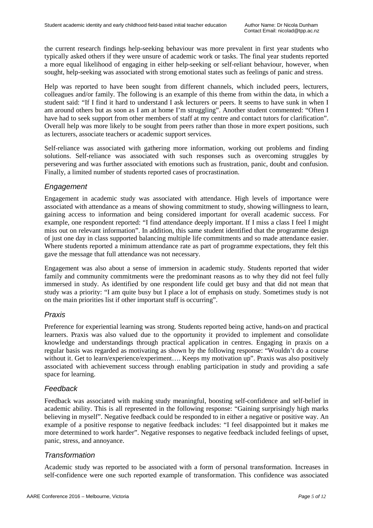the current research findings help-seeking behaviour was more prevalent in first year students who typically asked others if they were unsure of academic work or tasks. The final year students reported a more equal likelihood of engaging in either help-seeking or self-reliant behaviour, however, when sought, help-seeking was associated with strong emotional states such as feelings of panic and stress.

Help was reported to have been sought from different channels, which included peers, lecturers, colleagues and/or family. The following is an example of this theme from within the data, in which a student said: "If I find it hard to understand I ask lecturers or peers. It seems to have sunk in when I am around others but as soon as I am at home I'm struggling". Another student commented: "Often I have had to seek support from other members of staff at my centre and contact tutors for clarification". Overall help was more likely to be sought from peers rather than those in more expert positions, such as lecturers, associate teachers or academic support services.

Self-reliance was associated with gathering more information, working out problems and finding solutions. Self-reliance was associated with such responses such as overcoming struggles by persevering and was further associated with emotions such as frustration, panic, doubt and confusion. Finally, a limited number of students reported cases of procrastination.

# *Engagement*

Engagement in academic study was associated with attendance. High levels of importance were associated with attendance as a means of showing commitment to study, showing willingness to learn, gaining access to information and being considered important for overall academic success. For example, one respondent reported: "I find attendance deeply important. If I miss a class I feel I might miss out on relevant information". In addition, this same student identified that the programme design of just one day in class supported balancing multiple life commitments and so made attendance easier. Where students reported a minimum attendance rate as part of programme expectations, they felt this gave the message that full attendance was not necessary.

Engagement was also about a sense of immersion in academic study. Students reported that wider family and community commitments were the predominant reasons as to why they did not feel fully immersed in study. As identified by one respondent life could get busy and that did not mean that study was a priority: "I am quite busy but I place a lot of emphasis on study. Sometimes study is not on the main priorities list if other important stuff is occurring".

# *Praxis*

Preference for experiential learning was strong. Students reported being active, hands-on and practical learners. Praxis was also valued due to the opportunity it provided to implement and consolidate knowledge and understandings through practical application in centres. Engaging in praxis on a regular basis was regarded as motivating as shown by the following response: "Wouldn't do a course without it. Get to learn/experience/experiment.... Keeps my motivation up". Praxis was also positively associated with achievement success through enabling participation in study and providing a safe space for learning.

# *Feedback*

Feedback was associated with making study meaningful, boosting self-confidence and self-belief in academic ability. This is all represented in the following response: "Gaining surprisingly high marks believing in myself". Negative feedback could be responded to in either a negative or positive way. An example of a positive response to negative feedback includes: "I feel disappointed but it makes me more determined to work harder". Negative responses to negative feedback included feelings of upset, panic, stress, and annoyance.

# *Transformation*

Academic study was reported to be associated with a form of personal transformation. Increases in self-confidence were one such reported example of transformation. This confidence was associated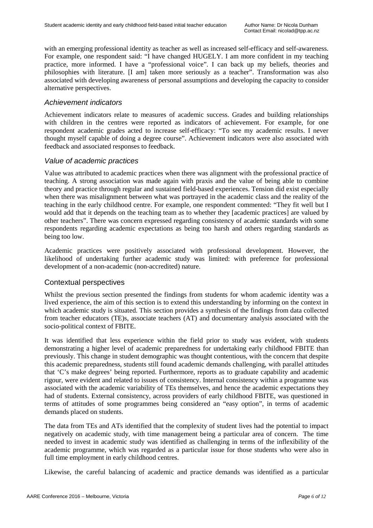with an emerging professional identity as teacher as well as increased self-efficacy and self-awareness. For example, one respondent said: "I have changed HUGELY. I am more confident in my teaching practice, more informed. I have a "professional voice". I can back up my beliefs, theories and philosophies with literature. [I am] taken more seriously as a teacher". Transformation was also associated with developing awareness of personal assumptions and developing the capacity to consider alternative perspectives.

## *Achievement indicators*

Achievement indicators relate to measures of academic success. Grades and building relationships with children in the centres were reported as indicators of achievement. For example, for one respondent academic grades acted to increase self-efficacy: "To see my academic results. I never thought myself capable of doing a degree course". Achievement indicators were also associated with feedback and associated responses to feedback.

## *Value of academic practices*

Value was attributed to academic practices when there was alignment with the professional practice of teaching. A strong association was made again with praxis and the value of being able to combine theory and practice through regular and sustained field-based experiences. Tension did exist especially when there was misalignment between what was portrayed in the academic class and the reality of the teaching in the early childhood centre. For example, one respondent commented: "They fit well but I would add that it depends on the teaching team as to whether they [academic practices] are valued by other teachers". There was concern expressed regarding consistency of academic standards with some respondents regarding academic expectations as being too harsh and others regarding standards as being too low.

Academic practices were positively associated with professional development. However, the likelihood of undertaking further academic study was limited: with preference for professional development of a non-academic (non-accredited) nature.

# Contextual perspectives

Whilst the previous section presented the findings from students for whom academic identity was a lived experience, the aim of this section is to extend this understanding by informing on the context in which academic study is situated. This section provides a synthesis of the findings from data collected from teacher educators (TE)s, associate teachers (AT) and documentary analysis associated with the socio-political context of FBITE.

It was identified that less experience within the field prior to study was evident, with students demonstrating a higher level of academic preparedness for undertaking early childhood FBITE than previously. This change in student demographic was thought contentious, with the concern that despite this academic preparedness, students still found academic demands challenging, with parallel attitudes that 'C's make degrees' being reported. Furthermore, reports as to graduate capability and academic rigour, were evident and related to issues of consistency. Internal consistency within a programme was associated with the academic variability of TEs themselves, and hence the academic expectations they had of students. External consistency, across providers of early childhood FBITE, was questioned in terms of attitudes of some programmes being considered an "easy option", in terms of academic demands placed on students.

The data from TEs and ATs identified that the complexity of student lives had the potential to impact negatively on academic study, with time management being a particular area of concern. The time needed to invest in academic study was identified as challenging in terms of the inflexibility of the academic programme, which was regarded as a particular issue for those students who were also in full time employment in early childhood centres.

Likewise, the careful balancing of academic and practice demands was identified as a particular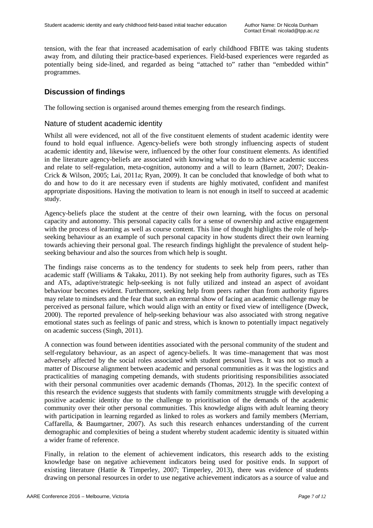tension, with the fear that increased academisation of early childhood FBITE was taking students away from, and diluting their practice-based experiences. Field-based experiences were regarded as potentially being side-lined, and regarded as being "attached to" rather than "embedded within" programmes.

# **Discussion of findings**

The following section is organised around themes emerging from the research findings.

## Nature of student academic identity

Whilst all were evidenced, not all of the five constituent elements of student academic identity were found to hold equal influence. Agency-beliefs were both strongly influencing aspects of student academic identity and, likewise were, influenced by the other four constituent elements. As identified in the literature agency-beliefs are associated with knowing what to do to achieve academic success and relate to self-regulation, meta-cognition, autonomy and a will to learn (Barnett, 2007; Deakin-Crick & Wilson, 2005; Lai, 2011a; Ryan, 2009). It can be concluded that knowledge of both what to do and how to do it are necessary even if students are highly motivated, confident and manifest appropriate dispositions. Having the motivation to learn is not enough in itself to succeed at academic study.

Agency-beliefs place the student at the centre of their own learning, with the focus on personal capacity and autonomy. This personal capacity calls for a sense of ownership and active engagement with the process of learning as well as course content. This line of thought highlights the role of helpseeking behaviour as an example of such personal capacity in how students direct their own learning towards achieving their personal goal. The research findings highlight the prevalence of student helpseeking behaviour and also the sources from which help is sought.

The findings raise concerns as to the tendency for students to seek help from peers, rather than academic staff (Williams & Takaku, 2011). By not seeking help from authority figures, such as TEs and ATs, adaptive/strategic help-seeking is not fully utilized and instead an aspect of avoidant behaviour becomes evident. Furthermore, seeking help from peers rather than from authority figures may relate to mindsets and the fear that such an external show of facing an academic challenge may be perceived as personal failure, which would align with an entity or fixed view of intelligence (Dweck, 2000). The reported prevalence of help-seeking behaviour was also associated with strong negative emotional states such as feelings of panic and stress, which is known to potentially impact negatively on academic success (Singh, 2011).

A connection was found between identities associated with the personal community of the student and self-regulatory behaviour, as an aspect of agency-beliefs. It was time–management that was most adversely affected by the social roles associated with student personal lives. It was not so much a matter of Discourse alignment between academic and personal communities as it was the logistics and practicalities of managing competing demands, with students prioritising responsibilities associated with their personal communities over academic demands (Thomas, 2012). In the specific context of this research the evidence suggests that students with family commitments struggle with developing a positive academic identity due to the challenge to prioritisation of the demands of the academic community over their other personal communities. This knowledge aligns with adult learning theory with participation in learning regarded as linked to roles as workers and family members (Merriam, Caffarella, & Baumgartner, 2007). As such this research enhances understanding of the current demographic and complexities of being a student whereby student academic identity is situated within a wider frame of reference.

Finally, in relation to the element of achievement indicators, this research adds to the existing knowledge base on negative achievement indicators being used for positive ends. In support of existing literature (Hattie & Timperley, 2007; Timperley, 2013), there was evidence of students drawing on personal resources in order to use negative achievement indicators as a source of value and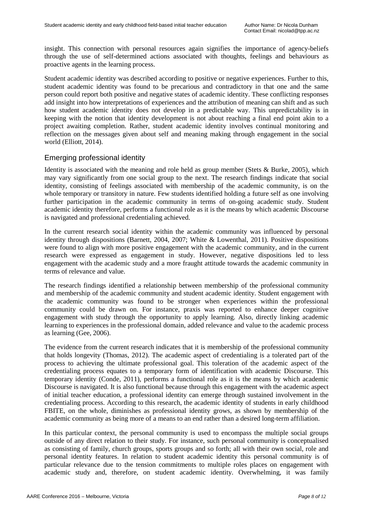insight. This connection with personal resources again signifies the importance of agency-beliefs through the use of self-determined actions associated with thoughts, feelings and behaviours as proactive agents in the learning process.

Student academic identity was described according to positive or negative experiences. Further to this, student academic identity was found to be precarious and contradictory in that one and the same person could report both positive and negative states of academic identity. These conflicting responses add insight into how interpretations of experiences and the attribution of meaning can shift and as such how student academic identity does not develop in a predictable way. This unpredictability is in keeping with the notion that identity development is not about reaching a final end point akin to a project awaiting completion. Rather, student academic identity involves continual monitoring and reflection on the messages given about self and meaning making through engagement in the social world (Elliott, 2014).

## Emerging professional identity

Identity is associated with the meaning and role held as group member (Stets & Burke, 2005), which may vary significantly from one social group to the next. The research findings indicate that social identity, consisting of feelings associated with membership of the academic community, is on the whole temporary or transitory in nature. Few students identified holding a future self as one involving further participation in the academic community in terms of on-going academic study. Student academic identity therefore, performs a functional role as it is the means by which academic Discourse is navigated and professional credentialing achieved.

In the current research social identity within the academic community was influenced by personal identity through dispositions (Barnett, 2004, 2007; White & Lowenthal, 2011). Positive dispositions were found to align with more positive engagement with the academic community, and in the current research were expressed as engagement in study. However, negative dispositions led to less engagement with the academic study and a more fraught attitude towards the academic community in terms of relevance and value.

The research findings identified a relationship between membership of the professional community and membership of the academic community and student academic identity. Student engagement with the academic community was found to be stronger when experiences within the professional community could be drawn on. For instance, praxis was reported to enhance deeper cognitive engagement with study through the opportunity to apply learning. Also, directly linking academic learning to experiences in the professional domain, added relevance and value to the academic process as learning (Gee, 2006).

The evidence from the current research indicates that it is membership of the professional community that holds longevity (Thomas, 2012). The academic aspect of credentialing is a tolerated part of the process to achieving the ultimate professional goal. This toleration of the academic aspect of the credentialing process equates to a temporary form of identification with academic Discourse. This temporary identity (Conde, 2011), performs a functional role as it is the means by which academic Discourse is navigated. It is also functional because through this engagement with the academic aspect of initial teacher education, a professional identity can emerge through sustained involvement in the credentialing process. According to this research, the academic identity of students in early childhood FBITE, on the whole, diminishes as professional identity grows, as shown by membership of the academic community as being more of a means to an end rather than a desired long-term affiliation.

In this particular context, the personal community is used to encompass the multiple social groups outside of any direct relation to their study. For instance, such personal community is conceptualised as consisting of family, church groups, sports groups and so forth; all with their own social, role and personal identity features. In relation to student academic identity this personal community is of particular relevance due to the tension commitments to multiple roles places on engagement with academic study and, therefore, on student academic identity. Overwhelming, it was family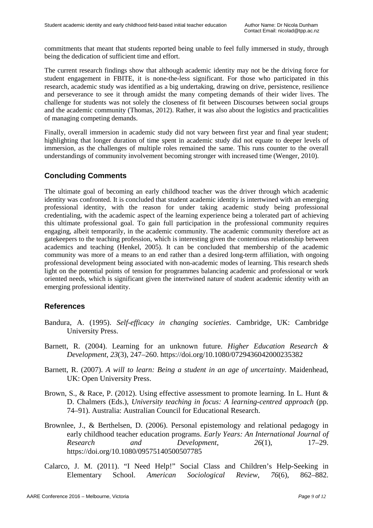commitments that meant that students reported being unable to feel fully immersed in study, through being the dedication of sufficient time and effort.

The current research findings show that although academic identity may not be the driving force for student engagement in FBITE, it is none-the-less significant. For those who participated in this research, academic study was identified as a big undertaking, drawing on drive, persistence, resilience and perseverance to see it through amidst the many competing demands of their wider lives. The challenge for students was not solely the closeness of fit between Discourses between social groups and the academic community (Thomas, 2012). Rather, it was also about the logistics and practicalities of managing competing demands.

Finally, overall immersion in academic study did not vary between first year and final year student; highlighting that longer duration of time spent in academic study did not equate to deeper levels of immersion, as the challenges of multiple roles remained the same. This runs counter to the overall understandings of community involvement becoming stronger with increased time (Wenger, 2010).

# **Concluding Comments**

The ultimate goal of becoming an early childhood teacher was the driver through which academic identity was confronted. It is concluded that student academic identity is intertwined with an emerging professional identity, with the reason for under taking academic study being professional credentialing, with the academic aspect of the learning experience being a tolerated part of achieving this ultimate professional goal. To gain full participation in the professional community requires engaging, albeit temporarily, in the academic community. The academic community therefore act as gatekeepers to the teaching profession, which is interesting given the contentious relationship between academics and teaching (Henkel, 2005). It can be concluded that membership of the academic community was more of a means to an end rather than a desired long-term affiliation, with ongoing professional development being associated with non-academic modes of learning. This research sheds light on the potential points of tension for programmes balancing academic and professional or work oriented needs, which is significant given the intertwined nature of student academic identity with an emerging professional identity.

# **References**

- Bandura, A. (1995). *Self-efficacy in changing societies*. Cambridge, UK: Cambridge University Press.
- Barnett, R. (2004). Learning for an unknown future. *Higher Education Research & Development*, *23*(3), 247–260. https://doi.org/10.1080/0729436042000235382
- Barnett, R. (2007). *A will to learn: Being a student in an age of uncertainty*. Maidenhead, UK: Open University Press.
- Brown, S., & Race, P. (2012). Using effective assessment to promote learning. In L. Hunt & D. Chalmers (Eds.), *University teaching in focus: A learning-centred approach* (pp. 74–91). Australia: Australian Council for Educational Research.
- Brownlee, J., & Berthelsen, D. (2006). Personal epistemology and relational pedagogy in early childhood teacher education programs. *Early Years: An International Journal of Research* and *Development*, 26(1), https://doi.org/10.1080/09575140500507785
- Calarco, J. M. (2011). "I Need Help!" Social Class and Children's Help-Seeking in Elementary School. *American Sociological Review*, *76*(6), 862–882.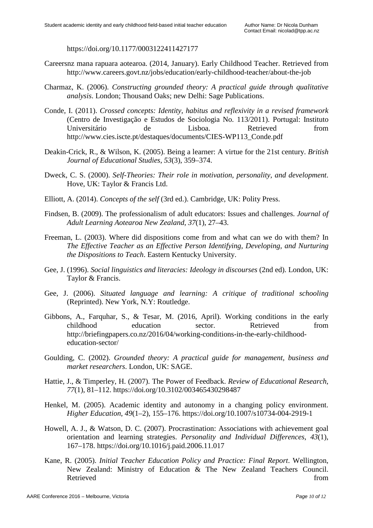https://doi.org/10.1177/0003122411427177

- Careersnz mana rapuara aotearoa. (2014, January). Early Childhood Teacher. Retrieved from http://www.careers.govt.nz/jobs/education/early-childhood-teacher/about-the-job
- Charmaz, K. (2006). *Constructing grounded theory: A practical guide through qualitative analysis*. London; Thousand Oaks; new Delhi: Sage Publications.
- Conde, I. (2011). *Crossed concepts: Identity, habitus and reflexivity in a revised framework* (Centro de Investigação e Estudos de Sociologia No. 113/2011). Portugal: Instituto Universitário de Lisboa. Retrieved from http://www.cies.iscte.pt/destaques/documents/CIES-WP113\_Conde.pdf
- Deakin-Crick, R., & Wilson, K. (2005). Being a learner: A virtue for the 21st century. *British Journal of Educational Studies*, *53*(3), 359–374.
- Dweck, C. S. (2000). *Self-Theories: Their role in motivation, personality, and development*. Hove, UK: Taylor & Francis Ltd.
- Elliott, A. (2014). *Concepts of the self* (3rd ed.). Cambridge, UK: Polity Press.
- Findsen, B. (2009). The professionalism of adult educators: Issues and challenges. *Journal of Adult Learning Aotearoa New Zealand*, *37*(1), 27–43.
- Freeman, L. (2003). Where did dispositions come from and what can we do with them? In *The Effective Teacher as an Effective Person Identifying, Developing, and Nurturing the Dispositions to Teach*. Eastern Kentucky University.
- Gee, J. (1996). *Social linguistics and literacies: Ideology in discourses* (2nd ed). London, UK: Taylor & Francis.
- Gee, J. (2006). *Situated language and learning: A critique of traditional schooling* (Reprinted). New York, N.Y: Routledge.
- Gibbons, A., Farquhar, S., & Tesar, M. (2016, April). Working conditions in the early childhood education sector. Retrieved from http://briefingpapers.co.nz/2016/04/working-conditions-in-the-early-childhoodeducation-sector/
- Goulding, C. (2002). *Grounded theory: A practical guide for management, business and market researchers*. London, UK: SAGE.
- Hattie, J., & Timperley, H. (2007). The Power of Feedback. *Review of Educational Research*, *77*(1), 81–112. https://doi.org/10.3102/003465430298487
- Henkel, M. (2005). Academic identity and autonomy in a changing policy environment. *Higher Education*, *49*(1–2), 155–176. https://doi.org/10.1007/s10734-004-2919-1
- Howell, A. J., & Watson, D. C. (2007). Procrastination: Associations with achievement goal orientation and learning strategies. *Personality and Individual Differences*, *43*(1), 167–178. https://doi.org/10.1016/j.paid.2006.11.017
- Kane, R. (2005). *Initial Teacher Education Policy and Practice: Final Report*. Wellington, New Zealand: Ministry of Education & The New Zealand Teachers Council. Retrieved from the state of the state of the state of the state of the state of the state of the state of the state of the state of the state of the state of the state of the state of the state of the state of the state of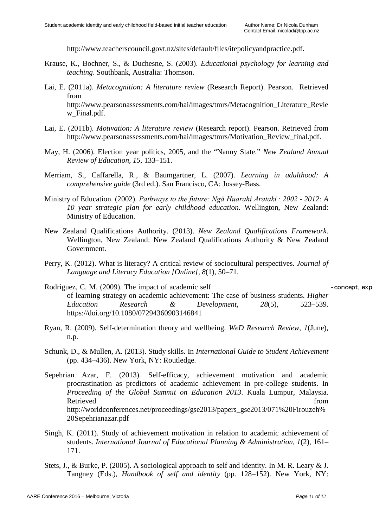http://www.teacherscouncil.govt.nz/sites/default/files/itepolicyandpractice.pdf.

- Krause, K., Bochner, S., & Duchesne, S. (2003). *Educational psychology for learning and teaching*. Southbank, Australia: Thomson.
- Lai, E. (2011a). *Metacognition: A literature review* (Research Report). Pearson. Retrieved from http://www.pearsonassessments.com/hai/images/tmrs/Metacognition\_Literature\_Revie w\_Final.pdf.
- Lai, E. (2011b). *Motivation: A literature review* (Research report). Pearson. Retrieved from http://www.pearsonassessments.com/hai/images/tmrs/Motivation\_Review\_final.pdf.
- May, H. (2006). Election year politics, 2005, and the "Nanny State." *New Zealand Annual Review of Education*, *15*, 133–151.
- Merriam, S., Caffarella, R., & Baumgartner, L. (2007). *Learning in adulthood: A comprehensive guide* (3rd ed.). San Francisco, CA: Jossey-Bass.
- Ministry of Education. (2002). *Pathways to the future: Ngā Huarahi Arataki : 2002 - 2012: A 10 year strategic plan for early childhood education.* Wellington, New Zealand: Ministry of Education.
- New Zealand Qualifications Authority. (2013). *New Zealand Qualifications Framework*. Wellington, New Zealand: New Zealand Qualifications Authority & New Zealand Government.
- Perry, K. (2012). What is literacy? A critical review of sociocultural perspectives. *Journal of Language and Literacy Education [Online]*, *8*(1), 50–71.
- Rodriguez, C. M. (2009). The impact of academic self experience oncept, experience oncept, experience oncept, exp of learning strategy on academic achievement: The case of business students. *Higher Education Research & Development*, *28*(5), 523–539. https://doi.org/10.1080/07294360903146841
- Ryan, R. (2009). Self-determination theory and wellbeing. *WeD Research Review*, *1*(June), n.p.
- Schunk, D., & Mullen, A. (2013). Study skills. In *International Guide to Student Achievement* (pp. 434–436). New York, NY: Routledge.
- Sepehrian Azar, F. (2013). Self-efficacy, achievement motivation and academic procrastination as predictors of academic achievement in pre-college students. In *Proceeding of the Global Summit on Education 2013*. Kuala Lumpur, Malaysia. Retrieved from the settlement of the settlement of the settlement of the settlement of the settlement of the set http://worldconferences.net/proceedings/gse2013/papers\_gse2013/071%20Firouzeh% 20Sepehrianazar.pdf
- Singh, K. (2011). Study of achievement motivation in relation to academic achievement of students. *International Journal of Educational Planning & Administration*, *1*(2), 161– 171.
- Stets, J., & Burke, P. (2005). A sociological approach to self and identity. In M. R. Leary & J. Tangney (Eds.), *Handbook of self and identity* (pp. 128–152). New York, NY: